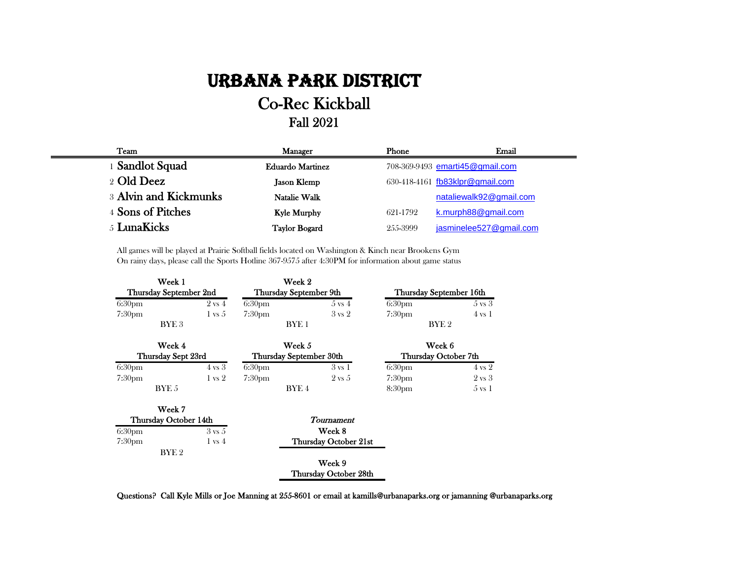## Urbana Park District

## Co-Rec Kickball Fall 2021

| Team                  | <b>Manager</b>          | Phone    | Email                           |
|-----------------------|-------------------------|----------|---------------------------------|
| 1 Sandlot Squad       | <b>Eduardo Martinez</b> |          | 708-369-9493 emarti45@gmail.com |
| 2 Old Deez            | <b>Jason Klemp</b>      |          | 630-418-4161 fb83klpr@gmail.com |
| 3 Alvin and Kickmunks | Natalie Walk            |          | nataliewalk92@gmail.com         |
| 4 Sons of Pitches     | <b>Kyle Murphy</b>      | 621-1792 | k.murph88@gmail.com             |
| 5 LunaKicks           | <b>Taylor Bogard</b>    | 255-3999 | jasminelee527@gmail.com         |

All games will be played at Prairie Softball fields located on Washington & Kinch near Brookens Gym On rainy days, please call the Sports Hotline 367-9575 after 4:30PM for information about game status

|                        | Week 1           |                         |                    | Week 2                |                         |                   |  |
|------------------------|------------------|-------------------------|--------------------|-----------------------|-------------------------|-------------------|--|
| Thursday September 2nd |                  | Thursday September 9th  |                    |                       | Thursday September 16th |                   |  |
| 6:30 <sub>pm</sub>     |                  | $2 \text{ vs } 4$       | 6:30 <sub>pm</sub> | $5 \text{ vs } 4$     | 6:30 <sub>pm</sub>      | $5 \text{ vs } 3$ |  |
| 7:30 <sub>pm</sub>     |                  | $1 \text{ vs } 5$       | 7:30 <sub>pm</sub> | $3 \text{ vs } 2$     | 7:30 <sub>pm</sub>      | $4 \text{ vs } 1$ |  |
|                        | BYE <sub>3</sub> |                         | BYE <sub>1</sub>   |                       |                         | BYE <sub>2</sub>  |  |
|                        | Week 4           |                         | Week 5             |                       |                         | Week 6            |  |
| Thursday Sept 23rd     |                  | Thursday September 30th |                    |                       | Thursday October 7th    |                   |  |
| 6:30 <sub>pm</sub>     |                  | $4 \text{ vs } 3$       | 6:30 <sub>pm</sub> | $3 \text{ vs } 1$     | 6:30 <sub>pm</sub>      | $4 \text{ vs } 2$ |  |
| 7:30 <sub>pm</sub>     |                  | $1 \text{ vs } 2$       | 7:30 <sub>pm</sub> | $2 \text{ vs } 5$     | 7:30 <sub>pm</sub>      | $2 \text{ vs } 3$ |  |
|                        | BYE 5            |                         |                    | BYE 4                 | 8:30 <sub>pm</sub>      | 5 vs 1            |  |
|                        | Week 7           |                         |                    |                       |                         |                   |  |
| Thursday October 14th  |                  | Tournament              |                    |                       |                         |                   |  |
| 6:30 <sub>pm</sub>     |                  | $3 \text{ vs } 5$       | Week 8             |                       |                         |                   |  |
| 7:30pm                 |                  | $1 \text{ vs } 4$       |                    | Thursday October 21st |                         |                   |  |
|                        | BYE <sub>2</sub> |                         |                    |                       |                         |                   |  |
|                        |                  |                         | Week 9             |                       |                         |                   |  |
|                        |                  |                         |                    | Thursday October 28th |                         |                   |  |

Questions? Call Kyle Mills or Joe Manning at 255-8601 or email at kamills@urbanaparks.org or jamanning @urbanaparks.org